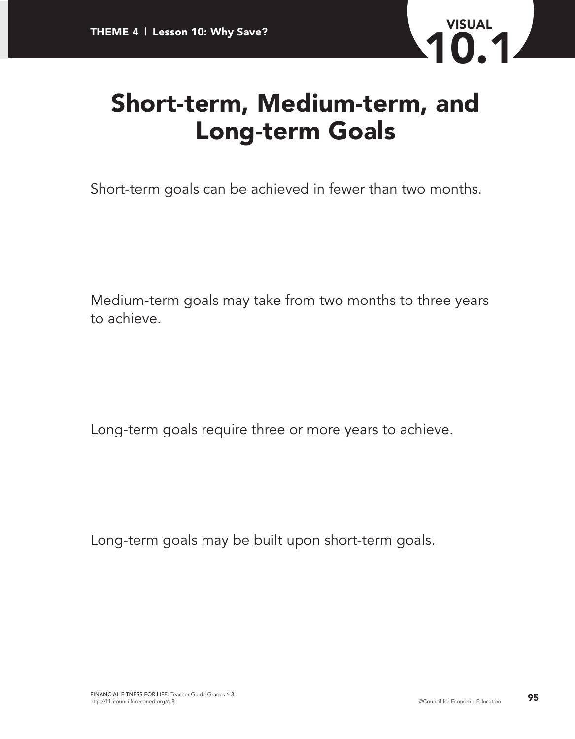

## **Short-term, Medium-term, and Long-term Goals**

Short-term goals can be achieved in fewer than two months.

Medium-term goals may take from two months to three years to achieve.

Long-term goals require three or more years to achieve.

Long-term goals may be built upon short-term goals.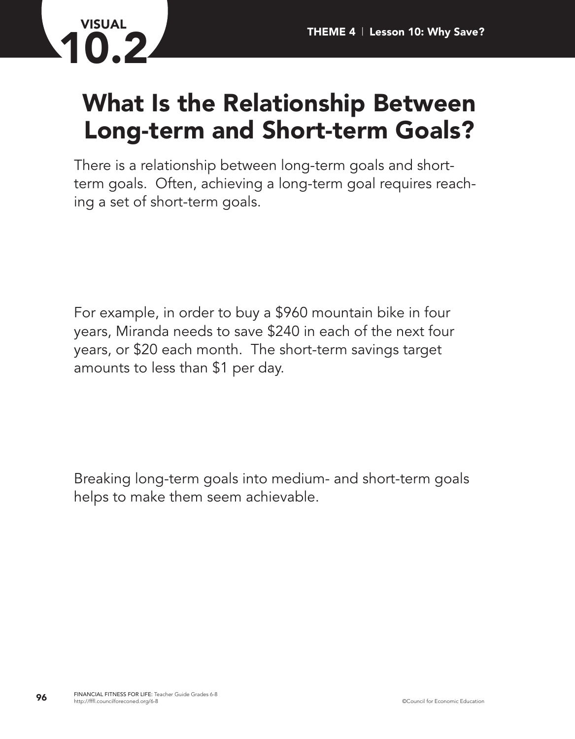

## **What Is the Relationship Between Long-term and Short-term Goals?**

There is a relationship between long-term goals and shortterm goals. Often, achieving a long-term goal requires reaching a set of short-term goals.

For example, in order to buy a \$960 mountain bike in four years, Miranda needs to save \$240 in each of the next four years, or \$20 each month. The short-term savings target amounts to less than \$1 per day.

Breaking long-term goals into medium- and short-term goals helps to make them seem achievable.